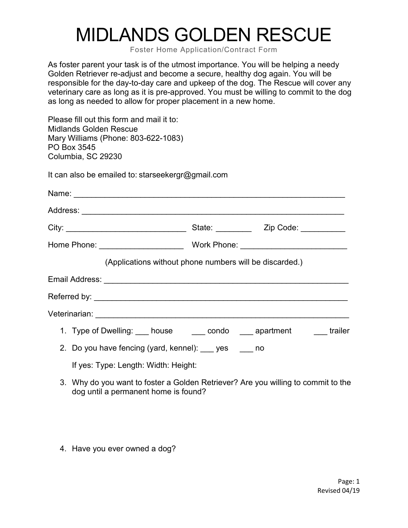## MIDLANDS GOLDEN RESCUE

Foster Home Application/Contract Form

As foster parent your task is of the utmost importance. You will be helping a needy Golden Retriever re-adjust and become a secure, healthy dog again. You will be responsible for the day-to-day care and upkeep of the dog. The Rescue will cover any veterinary care as long as it is pre-approved. You must be willing to commit to the dog as long as needed to allow for proper placement in a new home.

Please fill out this form and mail it to: Midlands Golden Rescue Mary Williams (Phone: 803-622-1083) PO Box 3545 Columbia, SC 29230

It can also be emailed to: starseekergr@gmail.com

| (Applications without phone numbers will be discarded.)               |  |  |  |
|-----------------------------------------------------------------------|--|--|--|
|                                                                       |  |  |  |
|                                                                       |  |  |  |
|                                                                       |  |  |  |
| 1. Type of Dwelling: ___ house ____ condo ____ apartment ____ trailer |  |  |  |
| 2. Do you have fencing (yard, kennel): yes ho                         |  |  |  |
|                                                                       |  |  |  |

If yes: Type: Length: Width: Height:

- 3. Why do you want to foster a Golden Retriever? Are you willing to commit to the dog until a permanent home is found?
- 4. Have you ever owned a dog?